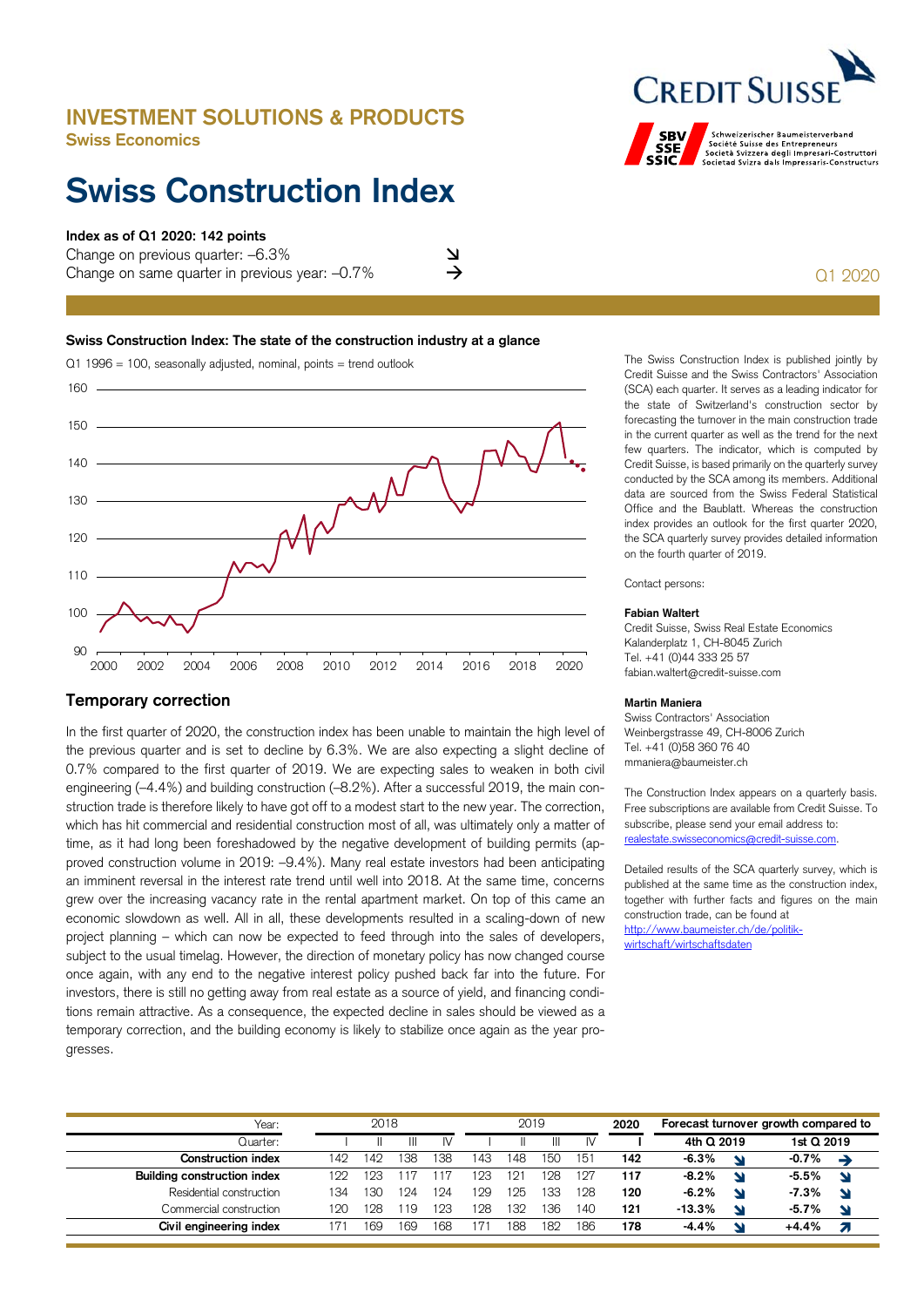## **INVESTMENT SOLUTIONS & PRODUCTS Swiss Economics**

## **Swiss Construction Index**

## **Index as of Q1 2020: 142 points**

Change on previous quarter: –6.3% Change on same quarter in previous year: –0.7% Q1 2020

# **SBV**

**CREDIT SUIS** Schweizerischer Baumeisterverband<br>Société Suisse des Entrepreneurs<br>Società Svizzera degli Impressaris-Costruttori<br>Societad Svizra dals Impressaris-Constructurs

### **Swiss Construction Index: The state of the construction industry at a glance**



## **Temporary correction**

In the first quarter of 2020, the construction index has been unable to maintain the high level of the previous quarter and is set to decline by 6.3%. We are also expecting a slight decline of 0.7% compared to the first quarter of 2019. We are expecting sales to weaken in both civil engineering (–4.4%) and building construction (–8.2%). After a successful 2019, the main construction trade is therefore likely to have got off to a modest start to the new year. The correction, which has hit commercial and residential construction most of all, was ultimately only a matter of time, as it had long been foreshadowed by the negative development of building permits (approved construction volume in 2019: –9.4%). Many real estate investors had been anticipating an imminent reversal in the interest rate trend until well into 2018. At the same time, concerns grew over the increasing vacancy rate in the rental apartment market. On top of this came an economic slowdown as well. All in all, these developments resulted in a scaling-down of new project planning – which can now be expected to feed through into the sales of developers, subject to the usual timelag. However, the direction of monetary policy has now changed course once again, with any end to the negative interest policy pushed back far into the future. For investors, there is still no getting away from real estate as a source of yield, and financing conditions remain attractive. As a consequence, the expected decline in sales should be viewed as a temporary correction, and the building economy is likely to stabilize once again as the year progresses.

The Swiss Construction Index is published jointly by Credit Suisse and the Swiss Contractors' Association (SCA) each quarter. It serves as a leading indicator for the state of Switzerland's construction sector by forecasting the turnover in the main construction trade in the current quarter as well as the trend for the next few quarters. The indicator, which is computed by Credit Suisse, is based primarily on the quarterly survey conducted by the SCA among its members. Additional data are sourced from the Swiss Federal Statistical Office and the Baublatt. Whereas the construction index provides an outlook for the first quarter 2020, the SCA quarterly survey provides detailed information on the fourth quarter of 2019.

Contact persons:

### **Fabian Waltert**

Credit Suisse, Swiss Real Estate Economics Kalanderplatz 1, CH-8045 Zurich Tel. +41 (0)44 333 25 57 fabian.waltert@credit-suisse.com

## **Martin Maniera**

Swiss Contractors' Association Weinbergstrasse 49, CH-8006 Zurich Tel. +41 (0)58 360 76 40 mmaniera@baumeister.ch

The Construction Index appears on a quarterly basis. Free subscriptions are available from Credit Suisse. To subscribe, please send your email address to: realestate.swisseconomics@credit-suisse.com.

Detailed results of the SCA quarterly survey, which is published at the same time as the construction index, together with further facts and figures on the main construction trade, can be found at http://www.baumeister.ch/de/politikwirtschaft/wirtschaftsdaten

| Year:                       | 2018 |     |     |     | 2019 |     |     |     | 2020 | Forecast turnover growth compared to |   |            |   |
|-----------------------------|------|-----|-----|-----|------|-----|-----|-----|------|--------------------------------------|---|------------|---|
| Quarter:                    |      |     |     |     |      |     |     | IV  |      | 4th Q 2019                           |   | 1st Q 2019 |   |
| <b>Construction index</b>   | 142  | 142 | 138 | 138 | 143  | 148 | 150 | 151 | 142  | $-6.3%$                              | N | $-0.7%$    |   |
| Building construction index | 199  | 123 |     |     | 23   | 12. | 128 | 127 | 117  | $-8.2%$                              | N | $-5.5%$    |   |
| Residential construction    | 134  | '30 | 24  | 124 | 29   | 125 | 133 | 128 | 120  | $-6.2%$                              | N | $-7.3%$    | ◥ |
| Commercial construction     | 120  | 128 | -19 | 123 | 28   | 132 | 136 | 140 | 121  | $-13.3%$                             | N | $-5.7%$    |   |
| Civil engineering index     |      | 169 | 169 | 168 | 7    | 188 | 182 | 186 | 178  | $-4.4%$                              | N | $+4.4%$    |   |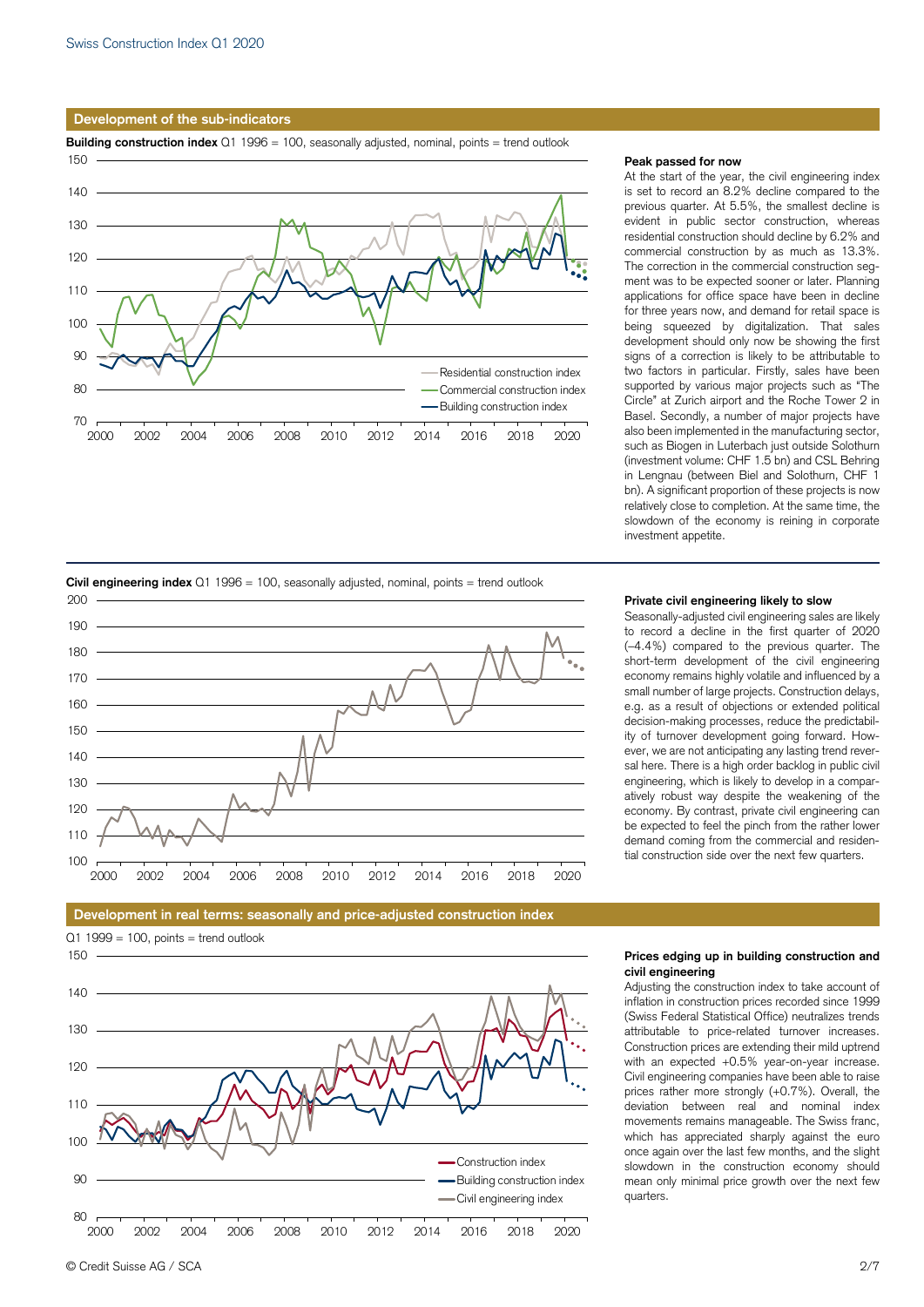## **Development of the sub-indicators**

**Building construction index** Q1 1996 = 100, seasonally adjusted, nominal, points = trend outlook



## **Peak passed for now**

At the start of the year, the civil engineering index is set to record an 8.2% decline compared to the previous quarter. At 5.5%, the smallest decline is evident in public sector construction, whereas residential construction should decline by 6.2% and commercial construction by as much as 13.3%. The correction in the commercial construction segment was to be expected sooner or later. Planning applications for office space have been in decline for three years now, and demand for retail space is being squeezed by digitalization. That sales development should only now be showing the first signs of a correction is likely to be attributable to two factors in particular. Firstly, sales have been supported by various major projects such as "The Circle" at Zurich airport and the Roche Tower 2 in Basel. Secondly, a number of major projects have also been implemented in the manufacturing sector, such as Biogen in Luterbach just outside Solothurn (investment volume: CHF 1.5 bn) and CSL Behring in Lengnau (between Biel and Solothurn, CHF 1 bn). A significant proportion of these projects is now relatively close to completion. At the same time, the slowdown of the economy is reining in corporate investment appetite.



Seasonally-adjusted civil engineering sales are likely to record a decline in the first quarter of 2020 (–4.4%) compared to the previous quarter. The short-term development of the civil engineering economy remains highly volatile and influenced by a small number of large projects. Construction delays, e.g. as a result of objections or extended political decision-making processes, reduce the predictability of turnover development going forward. However, we are not anticipating any lasting trend reversal here. There is a high order backlog in public civil engineering, which is likely to develop in a comparatively robust way despite the weakening of the economy. By contrast, private civil engineering can be expected to feel the pinch from the rather lower demand coming from the commercial and residential construction side over the next few quarters.





 $Q1 1999 = 100$ , points = trend outlook  $150$ 



## **Prices edging up in building construction and civil engineering**

Adjusting the construction index to take account of inflation in construction prices recorded since 1999 (Swiss Federal Statistical Office) neutralizes trends attributable to price-related turnover increases. Construction prices are extending their mild uptrend with an expected +0.5% year-on-year increase. Civil engineering companies have been able to raise prices rather more strongly (+0.7%). Overall, the deviation between real and nominal index movements remains manageable. The Swiss franc, which has appreciated sharply against the euro once again over the last few months, and the slight slowdown in the construction economy should mean only minimal price growth over the next few quarters.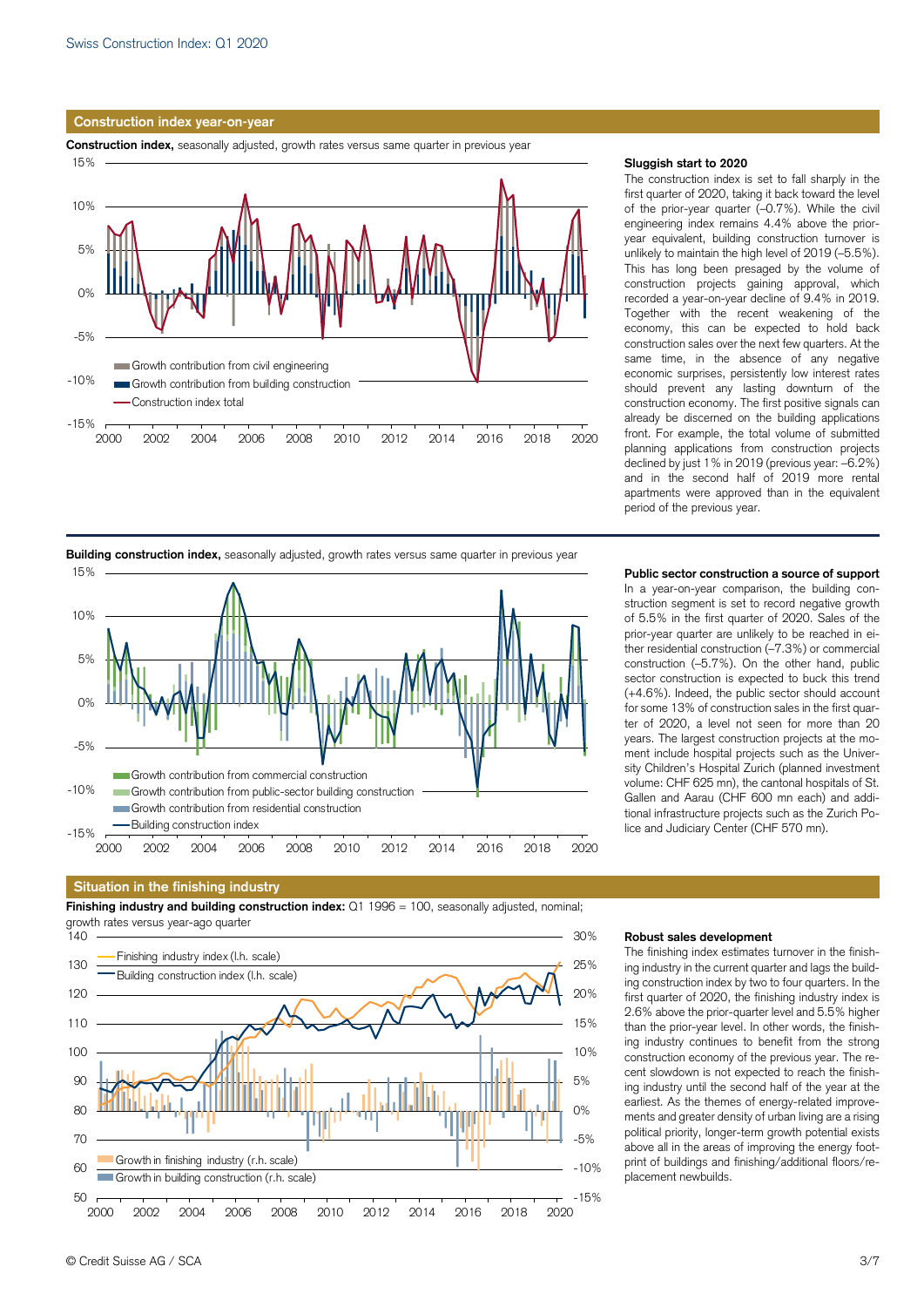## **Construction index year-on-year**

**Construction index,** seasonally adjusted, growth rates versus same quarter in previous year



## **Sluggish start to 2020**

The construction index is set to fall sharply in the first quarter of 2020, taking it back toward the level of the prior-year quarter (–0.7%). While the civil engineering index remains 4.4% above the prioryear equivalent, building construction turnover is unlikely to maintain the high level of 2019 (–5.5%). This has long been presaged by the volume of construction projects gaining approval, which recorded a year-on-year decline of 9.4% in 2019. Together with the recent weakening of the economy, this can be expected to hold back construction sales over the next few quarters. At the same time, in the absence of any negative economic surprises, persistently low interest rates should prevent any lasting downturn of the construction economy. The first positive signals can already be discerned on the building applications front. For example, the total volume of submitted planning applications from construction projects declined by just 1% in 2019 (previous year: –6.2%) and in the second half of 2019 more rental apartments were approved than in the equivalent period of the previous year.



## **Building construction index,** seasonally adjusted, growth rates versus same quarter in previous year

## **Situation in the finishing industry**

**Finishing industry and building construction index:** Q1 1996 = 100, seasonally adjusted, nominal; growth rates versus year-ago quarter



**Robust sales development**  The finishing index estimates turnover in the finishing industry in the current quarter and lags the building construction index by two to four quarters. In the first quarter of 2020, the finishing industry index is 2.6% above the prior-quarter level and 5.5% higher than the prior-year level. In other words, the finishing industry continues to benefit from the strong construction economy of the previous year. The recent slowdown is not expected to reach the finishing industry until the second half of the year at the earliest. As the themes of energy-related improvements and greater density of urban living are a rising political priority, longer-term growth potential exists above all in the areas of improving the energy footprint of buildings and finishing/additional floors/replacement newbuilds.

### **Public sector construction a source of support**

In a year-on-year comparison, the building construction segment is set to record negative growth of 5.5% in the first quarter of 2020. Sales of the prior-year quarter are unlikely to be reached in either residential construction (–7.3%) or commercial construction (–5.7%). On the other hand, public sector construction is expected to buck this trend (+4.6%). Indeed, the public sector should account for some 13% of construction sales in the first quarter of 2020, a level not seen for more than 20 years. The largest construction projects at the moment include hospital projects such as the University Children's Hospital Zurich (planned investment volume: CHF 625 mn), the cantonal hospitals of St. Gallen and Aarau (CHF 600 mn each) and additional infrastructure projects such as the Zurich Police and Judiciary Center (CHF 570 mn).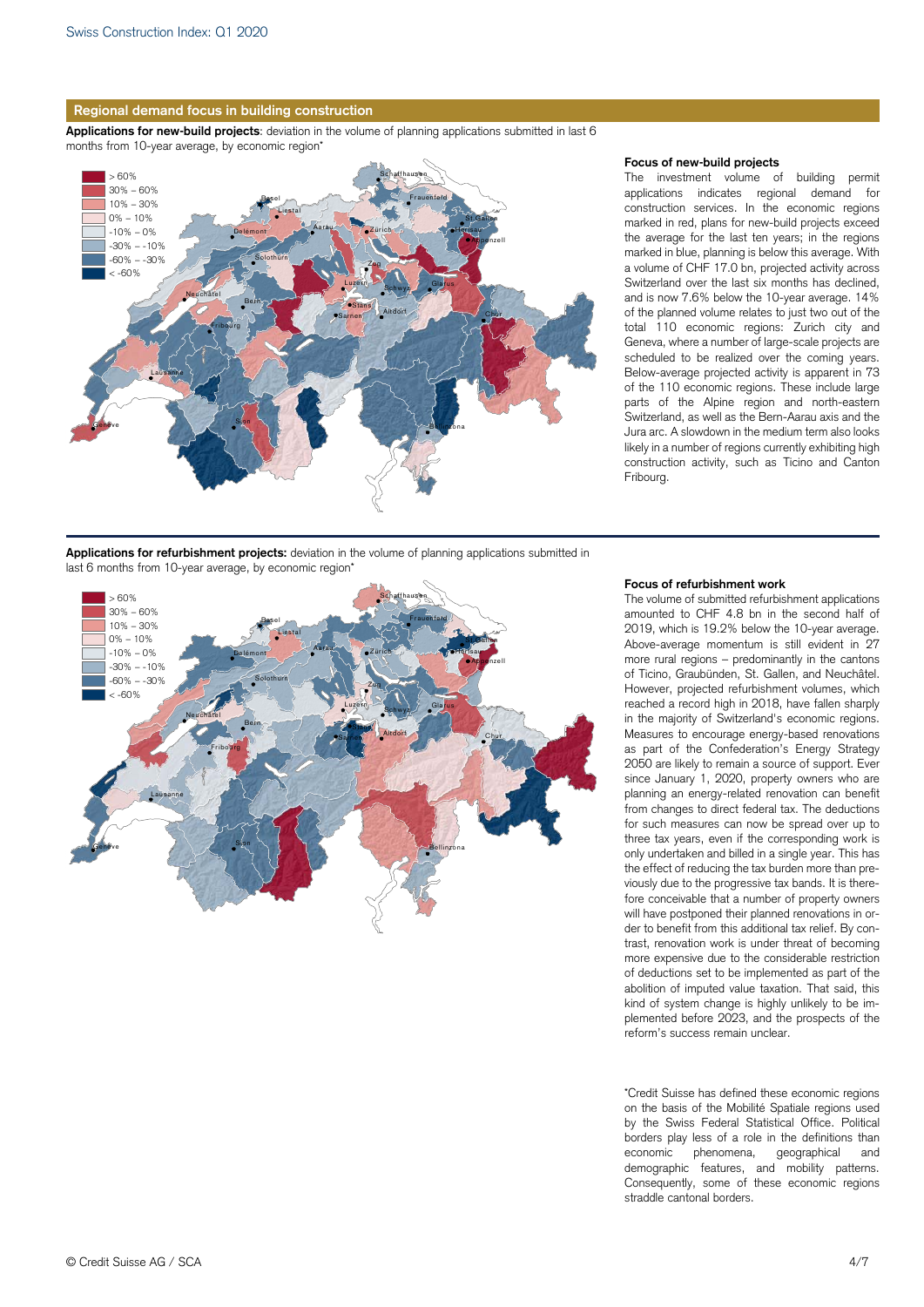

**Applications for new-build projects**: deviation in the volume of planning applications submitted in last 6 months from 10-year average, by economic region\*



### **Focus of new-build projects**

The investment volume of building permit applications indicates regional demand for construction services. In the economic regions marked in red, plans for new-build projects exceed the average for the last ten years; in the regions marked in blue, planning is below this average. With a volume of CHF 17.0 bn, projected activity across Switzerland over the last six months has declined, and is now 7.6% below the 10-year average. 14% of the planned volume relates to just two out of the total 110 economic regions: Zurich city and Geneva, where a number of large-scale projects are scheduled to be realized over the coming years. Below-average projected activity is apparent in 73 of the 110 economic regions. These include large parts of the Alpine region and north-eastern Switzerland, as well as the Bern-Aarau axis and the Jura arc. A slowdown in the medium term also looks likely in a number of regions currently exhibiting high construction activity, such as Ticino and Canton Fribourg.

**Applications for refurbishment projects:** deviation in the volume of planning applications submitted in last 6 months from 10-year average, by economic region\*



## **Focus of refurbishment work**

The volume of submitted refurbishment applications amounted to CHF 4.8 bn in the second half of 2019, which is 19.2% below the 10-year average. Above-average momentum is still evident in 27 more rural regions – predominantly in the cantons of Ticino, Graubünden, St. Gallen, and Neuchâtel. However, projected refurbishment volumes, which reached a record high in 2018, have fallen sharply in the majority of Switzerland's economic regions. Measures to encourage energy-based renovations as part of the Confederation's Energy Strategy 2050 are likely to remain a source of support. Ever since January 1, 2020, property owners who are planning an energy-related renovation can benefit from changes to direct federal tax. The deductions for such measures can now be spread over up to three tax years, even if the corresponding work is only undertaken and billed in a single year. This has the effect of reducing the tax burden more than previously due to the progressive tax bands. It is therefore conceivable that a number of property owners will have postponed their planned renovations in order to benefit from this additional tax relief. By contrast, renovation work is under threat of becoming more expensive due to the considerable restriction of deductions set to be implemented as part of the abolition of imputed value taxation. That said, this kind of system change is highly unlikely to be implemented before 2023, and the prospects of the reform's success remain unclear.

\*Credit Suisse has defined these economic regions on the basis of the Mobilité Spatiale regions used by the Swiss Federal Statistical Office. Political borders play less of a role in the definitions than<br>economic phenomena, geographical and economic phenomena, geographical and demographic features, and mobility patterns. Consequently, some of these economic regions straddle cantonal borders.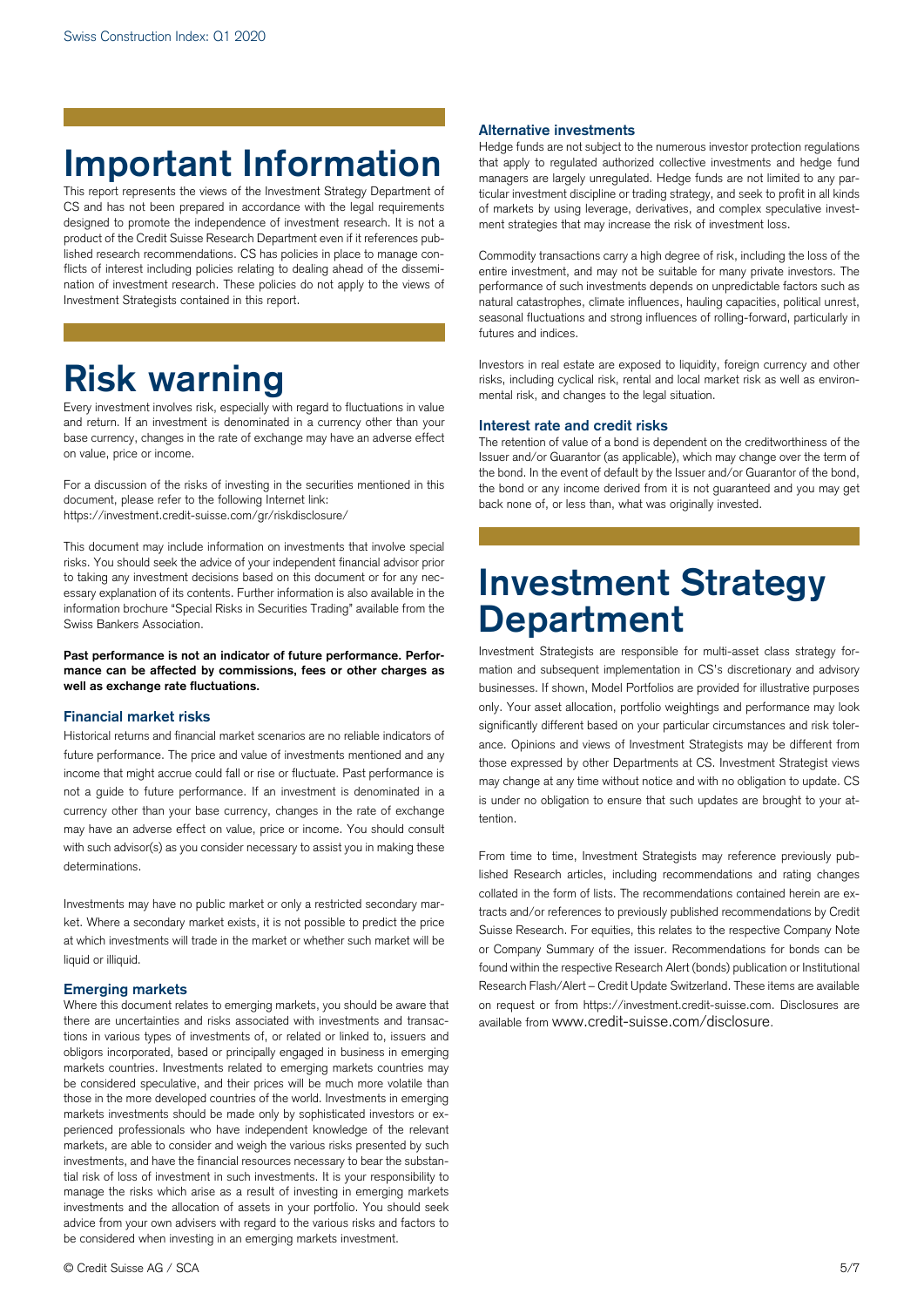## **Important Information**

This report represents the views of the Investment Strategy Department of CS and has not been prepared in accordance with the legal requirements designed to promote the independence of investment research. It is not a product of the Credit Suisse Research Department even if it references published research recommendations. CS has policies in place to manage conflicts of interest including policies relating to dealing ahead of the dissemination of investment research. These policies do not apply to the views of Investment Strategists contained in this report.

## **Risk warning**

Every investment involves risk, especially with regard to fluctuations in value and return. If an investment is denominated in a currency other than your base currency, changes in the rate of exchange may have an adverse effect on value, price or income.

For a discussion of the risks of investing in the securities mentioned in this document, please refer to the following Internet link: https://investment.credit-suisse.com/gr/riskdisclosure/

This document may include information on investments that involve special risks. You should seek the advice of your independent financial advisor prior to taking any investment decisions based on this document or for any necessary explanation of its contents. Further information is also available in the information brochure "Special Risks in Securities Trading" available from the Swiss Bankers Association.

**Past performance is not an indicator of future performance. Performance can be affected by commissions, fees or other charges as well as exchange rate fluctuations.** 

## **Financial market risks**

Historical returns and financial market scenarios are no reliable indicators of future performance. The price and value of investments mentioned and any income that might accrue could fall or rise or fluctuate. Past performance is not a guide to future performance. If an investment is denominated in a currency other than your base currency, changes in the rate of exchange may have an adverse effect on value, price or income. You should consult with such advisor(s) as you consider necessary to assist you in making these determinations.

Investments may have no public market or only a restricted secondary market. Where a secondary market exists, it is not possible to predict the price at which investments will trade in the market or whether such market will be liquid or illiquid.

## **Emerging markets**

Where this document relates to emerging markets, you should be aware that there are uncertainties and risks associated with investments and transactions in various types of investments of, or related or linked to, issuers and obligors incorporated, based or principally engaged in business in emerging markets countries. Investments related to emerging markets countries may be considered speculative, and their prices will be much more volatile than those in the more developed countries of the world. Investments in emerging markets investments should be made only by sophisticated investors or experienced professionals who have independent knowledge of the relevant markets, are able to consider and weigh the various risks presented by such investments, and have the financial resources necessary to bear the substantial risk of loss of investment in such investments. It is your responsibility to manage the risks which arise as a result of investing in emerging markets investments and the allocation of assets in your portfolio. You should seek advice from your own advisers with regard to the various risks and factors to be considered when investing in an emerging markets investment.

## **Alternative investments**

Hedge funds are not subject to the numerous investor protection regulations that apply to regulated authorized collective investments and hedge fund managers are largely unregulated. Hedge funds are not limited to any particular investment discipline or trading strategy, and seek to profit in all kinds of markets by using leverage, derivatives, and complex speculative investment strategies that may increase the risk of investment loss.

Commodity transactions carry a high degree of risk, including the loss of the entire investment, and may not be suitable for many private investors. The performance of such investments depends on unpredictable factors such as natural catastrophes, climate influences, hauling capacities, political unrest, seasonal fluctuations and strong influences of rolling-forward, particularly in futures and indices.

Investors in real estate are exposed to liquidity, foreign currency and other risks, including cyclical risk, rental and local market risk as well as environmental risk, and changes to the legal situation.

## **Interest rate and credit risks**

The retention of value of a bond is dependent on the creditworthiness of the Issuer and/or Guarantor (as applicable), which may change over the term of the bond. In the event of default by the Issuer and/or Guarantor of the bond, the bond or any income derived from it is not guaranteed and you may get back none of, or less than, what was originally invested.

## **Investment Strategy Department**

Investment Strategists are responsible for multi-asset class strategy formation and subsequent implementation in CS's discretionary and advisory businesses. If shown, Model Portfolios are provided for illustrative purposes only. Your asset allocation, portfolio weightings and performance may look significantly different based on your particular circumstances and risk tolerance. Opinions and views of Investment Strategists may be different from those expressed by other Departments at CS. Investment Strategist views may change at any time without notice and with no obligation to update. CS is under no obligation to ensure that such updates are brought to your attention.

From time to time, Investment Strategists may reference previously published Research articles, including recommendations and rating changes collated in the form of lists. The recommendations contained herein are extracts and/or references to previously published recommendations by Credit Suisse Research. For equities, this relates to the respective Company Note or Company Summary of the issuer. Recommendations for bonds can be found within the respective Research Alert (bonds) publication or Institutional Research Flash/Alert – Credit Update Switzerland. These items are available on request or from https://investment.credit-suisse.com. Disclosures are available from www.credit-suisse.com/disclosure.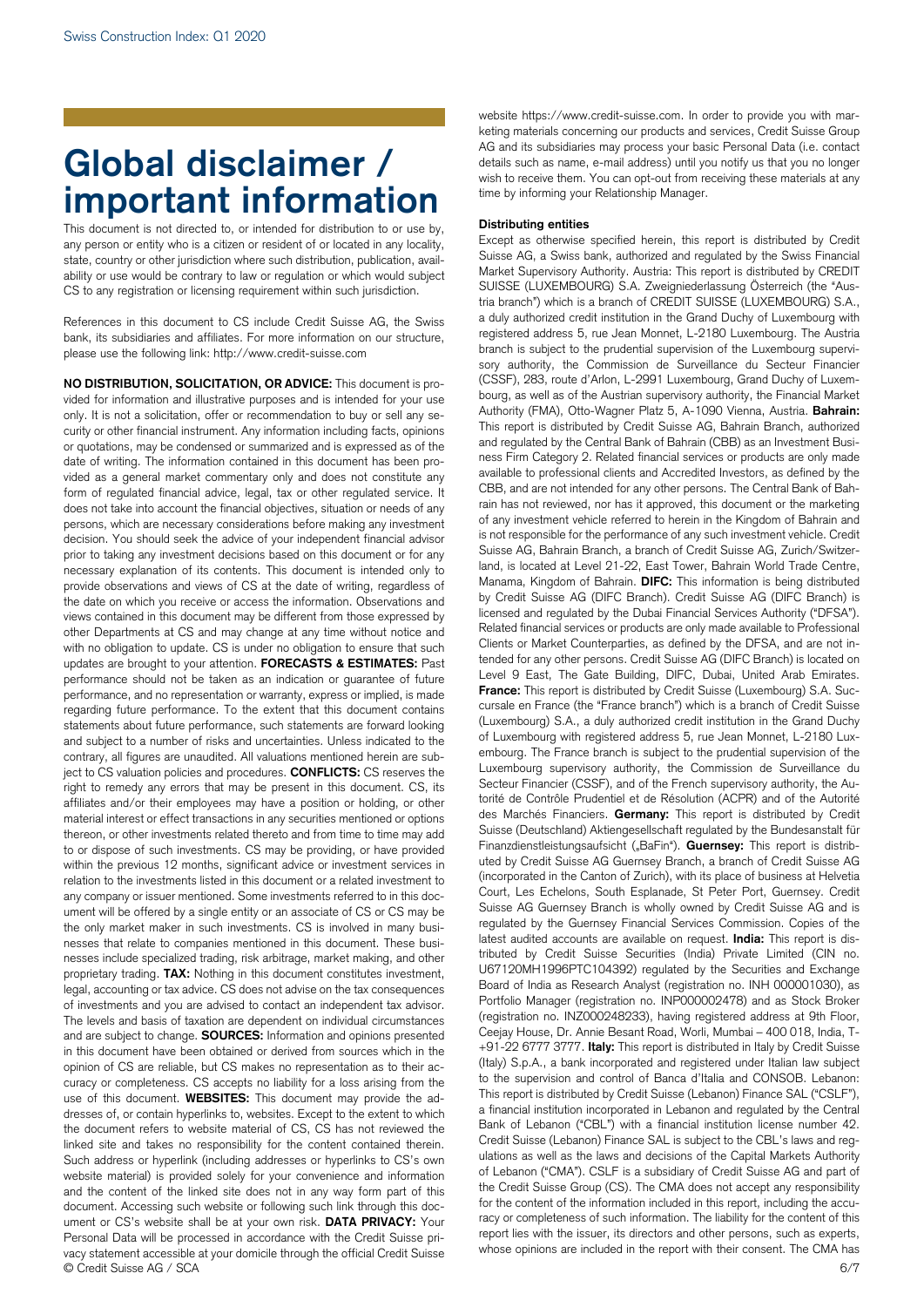## **Global disclaimer / important information**

This document is not directed to, or intended for distribution to or use by, any person or entity who is a citizen or resident of or located in any locality, state, country or other jurisdiction where such distribution, publication, availability or use would be contrary to law or regulation or which would subject CS to any registration or licensing requirement within such jurisdiction.

References in this document to CS include Credit Suisse AG, the Swiss bank, its subsidiaries and affiliates. For more information on our structure, please use the following link: http://www.credit-suisse.com

© Credit Suisse AG / SCA 6/7 **NO DISTRIBUTION, SOLICITATION, OR ADVICE:** This document is provided for information and illustrative purposes and is intended for your use only. It is not a solicitation, offer or recommendation to buy or sell any security or other financial instrument. Any information including facts, opinions or quotations, may be condensed or summarized and is expressed as of the date of writing. The information contained in this document has been provided as a general market commentary only and does not constitute any form of regulated financial advice, legal, tax or other regulated service. It does not take into account the financial objectives, situation or needs of any persons, which are necessary considerations before making any investment decision. You should seek the advice of your independent financial advisor prior to taking any investment decisions based on this document or for any necessary explanation of its contents. This document is intended only to provide observations and views of CS at the date of writing, regardless of the date on which you receive or access the information. Observations and views contained in this document may be different from those expressed by other Departments at CS and may change at any time without notice and with no obligation to update. CS is under no obligation to ensure that such updates are brought to your attention. **FORECASTS & ESTIMATES:** Past performance should not be taken as an indication or guarantee of future performance, and no representation or warranty, express or implied, is made regarding future performance. To the extent that this document contains statements about future performance, such statements are forward looking and subject to a number of risks and uncertainties. Unless indicated to the contrary, all figures are unaudited. All valuations mentioned herein are subject to CS valuation policies and procedures. **CONFLICTS:** CS reserves the right to remedy any errors that may be present in this document. CS, its affiliates and/or their employees may have a position or holding, or other material interest or effect transactions in any securities mentioned or options thereon, or other investments related thereto and from time to time may add to or dispose of such investments. CS may be providing, or have provided within the previous 12 months, significant advice or investment services in relation to the investments listed in this document or a related investment to any company or issuer mentioned. Some investments referred to in this document will be offered by a single entity or an associate of CS or CS may be the only market maker in such investments. CS is involved in many businesses that relate to companies mentioned in this document. These businesses include specialized trading, risk arbitrage, market making, and other proprietary trading. **TAX:** Nothing in this document constitutes investment, legal, accounting or tax advice. CS does not advise on the tax consequences of investments and you are advised to contact an independent tax advisor. The levels and basis of taxation are dependent on individual circumstances and are subject to change. **SOURCES:** Information and opinions presented in this document have been obtained or derived from sources which in the opinion of CS are reliable, but CS makes no representation as to their accuracy or completeness. CS accepts no liability for a loss arising from the use of this document. **WEBSITES:** This document may provide the addresses of, or contain hyperlinks to, websites. Except to the extent to which the document refers to website material of CS, CS has not reviewed the linked site and takes no responsibility for the content contained therein. Such address or hyperlink (including addresses or hyperlinks to CS's own website material) is provided solely for your convenience and information and the content of the linked site does not in any way form part of this document. Accessing such website or following such link through this document or CS's website shall be at your own risk. **DATA PRIVACY:** Your Personal Data will be processed in accordance with the Credit Suisse privacy statement accessible at your domicile through the official Credit Suisse

website https://www.credit-suisse.com. In order to provide you with marketing materials concerning our products and services, Credit Suisse Group AG and its subsidiaries may process your basic Personal Data (i.e. contact details such as name, e-mail address) until you notify us that you no longer wish to receive them. You can opt-out from receiving these materials at any time by informing your Relationship Manager.

## **Distributing entities**

Except as otherwise specified herein, this report is distributed by Credit Suisse AG, a Swiss bank, authorized and regulated by the Swiss Financial Market Supervisory Authority. Austria: This report is distributed by CREDIT SUISSE (LUXEMBOURG) S.A. Zweigniederlassung Österreich (the "Austria branch") which is a branch of CREDIT SUISSE (LUXEMBOURG) S.A., a duly authorized credit institution in the Grand Duchy of Luxembourg with registered address 5, rue Jean Monnet, L-2180 Luxembourg. The Austria branch is subject to the prudential supervision of the Luxembourg supervisory authority, the Commission de Surveillance du Secteur Financier (CSSF), 283, route d'Arlon, L-2991 Luxembourg, Grand Duchy of Luxembourg, as well as of the Austrian supervisory authority, the Financial Market Authority (FMA), Otto-Wagner Platz 5, A-1090 Vienna, Austria. **Bahrain:** This report is distributed by Credit Suisse AG, Bahrain Branch, authorized and regulated by the Central Bank of Bahrain (CBB) as an Investment Business Firm Category 2. Related financial services or products are only made available to professional clients and Accredited Investors, as defined by the CBB, and are not intended for any other persons. The Central Bank of Bahrain has not reviewed, nor has it approved, this document or the marketing of any investment vehicle referred to herein in the Kingdom of Bahrain and is not responsible for the performance of any such investment vehicle. Credit Suisse AG, Bahrain Branch, a branch of Credit Suisse AG, Zurich/Switzerland, is located at Level 21-22, East Tower, Bahrain World Trade Centre, Manama, Kingdom of Bahrain. **DIFC:** This information is being distributed by Credit Suisse AG (DIFC Branch). Credit Suisse AG (DIFC Branch) is licensed and regulated by the Dubai Financial Services Authority ("DFSA"). Related financial services or products are only made available to Professional Clients or Market Counterparties, as defined by the DFSA, and are not intended for any other persons. Credit Suisse AG (DIFC Branch) is located on Level 9 East, The Gate Building, DIFC, Dubai, United Arab Emirates. **France:** This report is distributed by Credit Suisse (Luxembourg) S.A. Succursale en France (the "France branch") which is a branch of Credit Suisse (Luxembourg) S.A., a duly authorized credit institution in the Grand Duchy of Luxembourg with registered address 5, rue Jean Monnet, L-2180 Luxembourg. The France branch is subject to the prudential supervision of the Luxembourg supervisory authority, the Commission de Surveillance du Secteur Financier (CSSF), and of the French supervisory authority, the Autorité de Contrôle Prudentiel et de Résolution (ACPR) and of the Autorité des Marchés Financiers. **Germany:** This report is distributed by Credit Suisse (Deutschland) Aktiengesellschaft regulated by the Bundesanstalt für Finanzdienstleistungsaufsicht ("BaFin"). **Guernsey:** This report is distributed by Credit Suisse AG Guernsey Branch, a branch of Credit Suisse AG (incorporated in the Canton of Zurich), with its place of business at Helvetia Court, Les Echelons, South Esplanade, St Peter Port, Guernsey. Credit Suisse AG Guernsey Branch is wholly owned by Credit Suisse AG and is regulated by the Guernsey Financial Services Commission. Copies of the latest audited accounts are available on request. **India:** This report is distributed by Credit Suisse Securities (India) Private Limited (CIN no. U67120MH1996PTC104392) regulated by the Securities and Exchange Board of India as Research Analyst (registration no. INH 000001030), as Portfolio Manager (registration no. INP000002478) and as Stock Broker (registration no. INZ000248233), having registered address at 9th Floor, Ceejay House, Dr. Annie Besant Road, Worli, Mumbai – 400 018, India, T- +91-22 6777 3777. **Italy:** This report is distributed in Italy by Credit Suisse (Italy) S.p.A., a bank incorporated and registered under Italian law subject to the supervision and control of Banca d'Italia and CONSOB. Lebanon: This report is distributed by Credit Suisse (Lebanon) Finance SAL ("CSLF"), a financial institution incorporated in Lebanon and regulated by the Central Bank of Lebanon ("CBL") with a financial institution license number 42. Credit Suisse (Lebanon) Finance SAL is subject to the CBL's laws and regulations as well as the laws and decisions of the Capital Markets Authority of Lebanon ("CMA"). CSLF is a subsidiary of Credit Suisse AG and part of the Credit Suisse Group (CS). The CMA does not accept any responsibility for the content of the information included in this report, including the accuracy or completeness of such information. The liability for the content of this report lies with the issuer, its directors and other persons, such as experts, whose opinions are included in the report with their consent. The CMA has